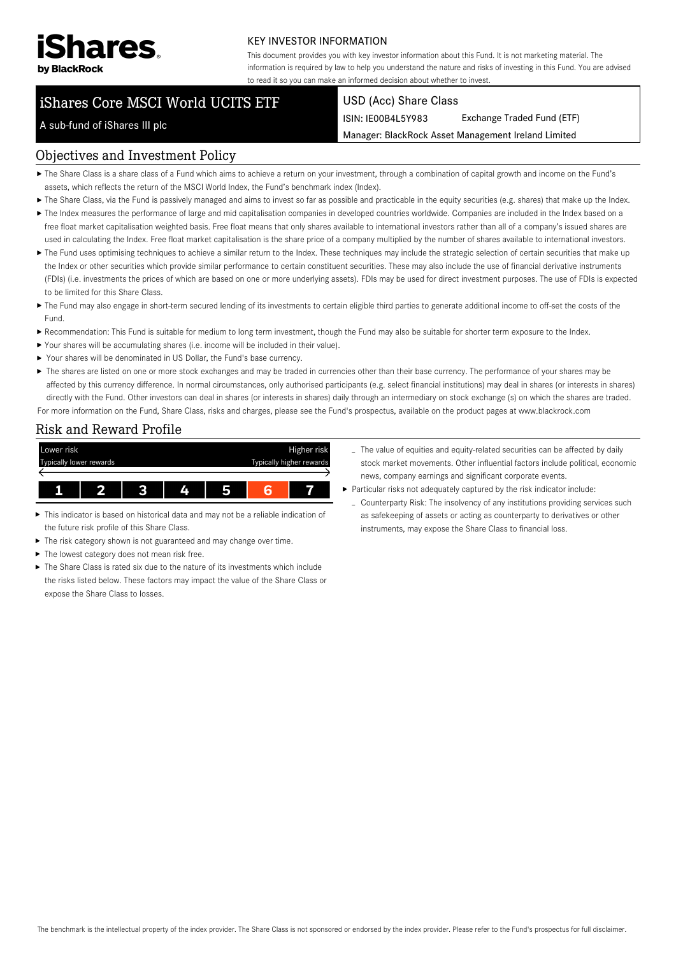

#### KEY INVESTOR INFORMATION

This document provides you with key investor information about this Fund. It is not marketing material. The information is required by law to help you understand the nature and risks of investing in this Fund. You are advised to read it so you can make an informed decision about whether to invest.

# iShares Core MSCI World UCITS ETF

#### USD (Acc) Share Class

ISIN: IE00B4L5Y983 Exchange Traded Fund (ETF)

Manager: BlackRock Asset Management Ireland Limited

## A sub-fund of iShares III plc

#### Objectives and Investment Policy

- The Share Class is a share class of a Fund which aims to achieve a return on your investment, through a combination of capital growth and income on the Fund's assets, which reflects the return of the MSCI World Index, the Fund's benchmark index (Index).
- ▶ The Share Class, via the Fund is passively managed and aims to invest so far as possible and practicable in the equity securities (e.g. shares) that make up the Index.
- ▶ The Index measures the performance of large and mid capitalisation companies in developed countries worldwide. Companies are included in the Index based on a free float market capitalisation weighted basis. Free float means that only shares available to international investors rather than all of a company's issued shares are used in calculating the Index. Free float market capitalisation is the share price of a company multiplied by the number of shares available to international investors.
- ▶ The Fund uses optimising techniques to achieve a similar return to the Index. These techniques may include the strategic selection of certain securities that make up the Index or other securities which provide similar performance to certain constituent securities. These may also include the use of financial derivative instruments (FDIs) (i.e. investments the prices of which are based on one or more underlying assets). FDIs may be used for direct investment purposes. The use of FDIs is expected to be limited for this Share Class.
- ▶ The Fund may also engage in short-term secured lending of its investments to certain eligible third parties to generate additional income to off-set the costs of the Fund.
- Recommendation: This Fund is suitable for medium to long term investment, though the Fund may also be suitable for shorter term exposure to the Index.
- Your shares will be accumulating shares (i.e. income will be included in their value).
- ▶ Your shares will be denominated in US Dollar, the Fund's base currency.
- ▶ The shares are listed on one or more stock exchanges and may be traded in currencies other than their base currency. The performance of your shares may be affected by this currency difference. In normal circumstances, only authorised participants (e.g. select financial institutions) may deal in shares (or interests in shares) directly with the Fund. Other investors can deal in shares (or interests in shares) daily through an intermediary on stock exchange (s) on which the shares are traded. For more information on the Fund, Share Class, risks and charges, please see the Fund's prospectus, available on the product pages at www.blackrock.com

## Risk and Reward Profile



- This indicator is based on historical data and may not be a reliable indication of ь the future risk profile of this Share Class.
- The risk category shown is not guaranteed and may change over time.
- The lowest category does not mean risk free. ь
- The Share Class is rated six due to the nature of its investments which include the risks listed below. These factors may impact the value of the Share Class or expose the Share Class to losses.
- The value of equities and equity-related securities can be affected by daily stock market movements. Other influential factors include political, economic news, company earnings and significant corporate events.
- Particular risks not adequately captured by the risk indicator include:
- Counterparty Risk: The insolvency of any institutions providing services such as safekeeping of assets or acting as counterparty to derivatives or other instruments, may expose the Share Class to financial loss.